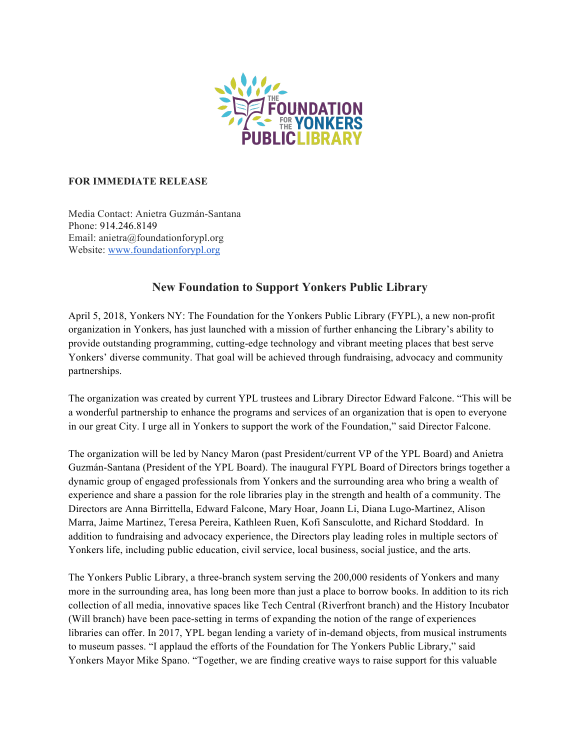

## **FOR IMMEDIATE RELEASE**

Media Contact: Anietra Guzmán-Santana Phone: 914.246.8149 Email: anietra@foundationforypl.org Website: www.foundationforypl.org

## **New Foundation to Support Yonkers Public Library**

April 5, 2018, Yonkers NY: The Foundation for the Yonkers Public Library (FYPL), a new non-profit organization in Yonkers, has just launched with a mission of further enhancing the Library's ability to provide outstanding programming, cutting-edge technology and vibrant meeting places that best serve Yonkers' diverse community. That goal will be achieved through fundraising, advocacy and community partnerships.

The organization was created by current YPL trustees and Library Director Edward Falcone. "This will be a wonderful partnership to enhance the programs and services of an organization that is open to everyone in our great City. I urge all in Yonkers to support the work of the Foundation," said Director Falcone.

The organization will be led by Nancy Maron (past President/current VP of the YPL Board) and Anietra Guzmán-Santana (President of the YPL Board). The inaugural FYPL Board of Directors brings together a dynamic group of engaged professionals from Yonkers and the surrounding area who bring a wealth of experience and share a passion for the role libraries play in the strength and health of a community. The Directors are Anna Birrittella, Edward Falcone, Mary Hoar, Joann Li, Diana Lugo-Martinez, Alison Marra, Jaime Martinez, Teresa Pereira, Kathleen Ruen, Kofi Sansculotte, and Richard Stoddard. In addition to fundraising and advocacy experience, the Directors play leading roles in multiple sectors of Yonkers life, including public education, civil service, local business, social justice, and the arts.

The Yonkers Public Library, a three-branch system serving the 200,000 residents of Yonkers and many more in the surrounding area, has long been more than just a place to borrow books. In addition to its rich collection of all media, innovative spaces like Tech Central (Riverfront branch) and the History Incubator (Will branch) have been pace-setting in terms of expanding the notion of the range of experiences libraries can offer. In 2017, YPL began lending a variety of in-demand objects, from musical instruments to museum passes. "I applaud the efforts of the Foundation for The Yonkers Public Library," said Yonkers Mayor Mike Spano. "Together, we are finding creative ways to raise support for this valuable